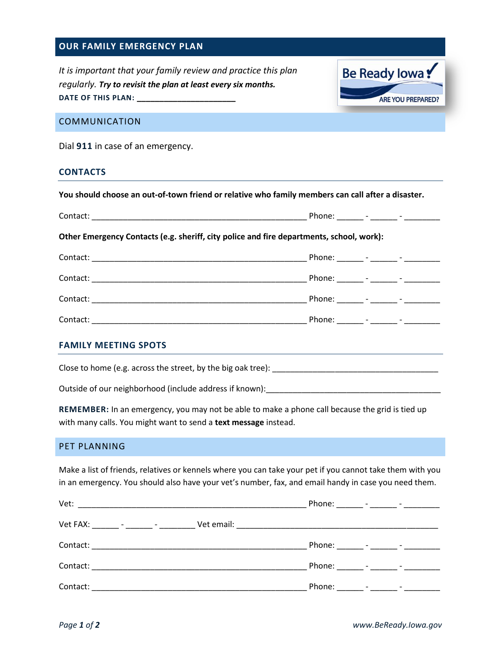## **OUR FAMILY EMERGENCY PLAN**

*It is important that your family review and practice this plan regularly. Try to revisit the plan at least every six months.* **DATE OF THIS PLAN: \_\_\_\_\_\_\_\_\_\_\_\_\_\_\_\_\_\_\_\_\_\_**



### COMMUNICATION

Dial **911** in case of an emergency.

#### **CONTACTS**

| You should choose an out-of-town friend or relative who family members can call after a disaster. |  |  |  |  |  |
|---------------------------------------------------------------------------------------------------|--|--|--|--|--|
|                                                                                                   |  |  |  |  |  |
| Other Emergency Contacts (e.g. sheriff, city police and fire departments, school, work):          |  |  |  |  |  |
|                                                                                                   |  |  |  |  |  |
|                                                                                                   |  |  |  |  |  |
|                                                                                                   |  |  |  |  |  |
|                                                                                                   |  |  |  |  |  |
|                                                                                                   |  |  |  |  |  |

### **FAMILY MEETING SPOTS**

Close to home (e.g. across the street, by the big oak tree): \_\_\_\_\_\_\_\_\_\_\_\_\_\_\_\_\_\_\_\_\_\_\_\_\_\_\_\_\_\_\_\_\_\_\_\_\_

Outside of our neighborhood (include address if known):

**REMEMBER:** In an emergency, you may not be able to make a phone call because the grid is tied up with many calls. You might want to send a **text message** instead.

# PET PLANNING

Make a list of friends, relatives or kennels where you can take your pet if you cannot take them with you in an emergency. You should also have your vet's number, fax, and email handy in case you need them.

| Vet:                                                                                                                                                                                                                          | Phone: _______ - _______ - _________ |
|-------------------------------------------------------------------------------------------------------------------------------------------------------------------------------------------------------------------------------|--------------------------------------|
| Vet FAX: _______ - _______ - ________                                                                                                                                                                                         |                                      |
| Contact:<br><u> 1980 - Jan James John Stone, mars and de la provincia de la provincia de la provincia de la provincia de la p</u>                                                                                             | Phone: _______ - ______ - _________  |
| Contact: will be a series of the series of the series of the series of the series of the series of the series of the series of the series of the series of the series of the series of the series of the series of the series | Phone: _______ - ______ - _________  |
| Contact:                                                                                                                                                                                                                      | Phone: _______ - _______ - _________ |